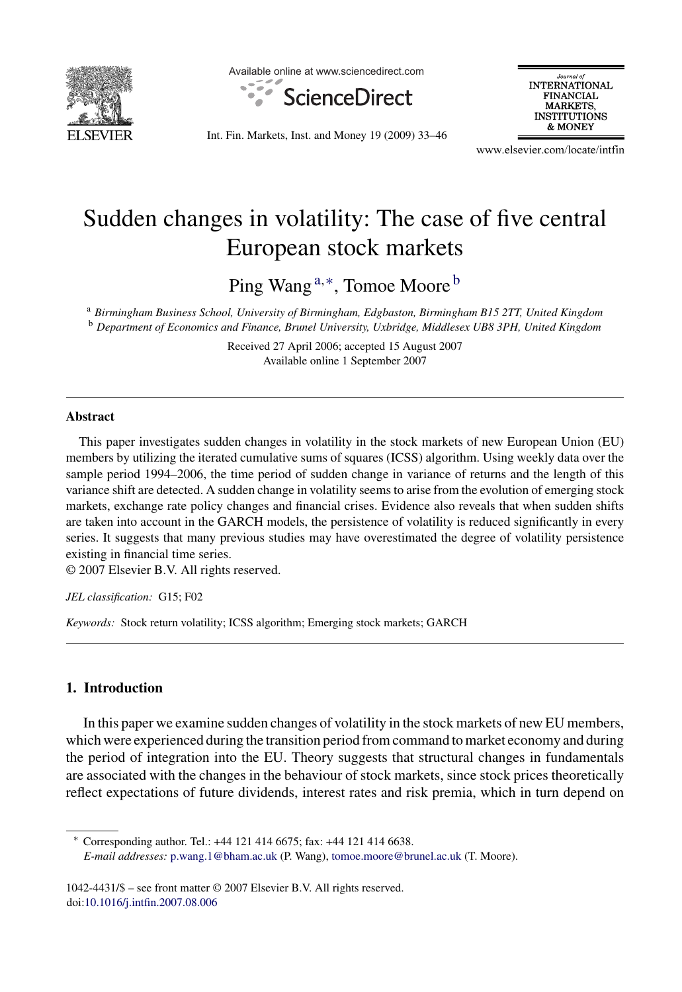

Available online at www.sciencedirect.com





Int. Fin. Markets, Inst. and Money 19 (2009) 33–46

www.elsevier.com/locate/intfin

# Sudden changes in volatility: The case of five central European stock markets

Ping Wang <sup>a</sup>,∗, Tomoe Moore <sup>b</sup>

<sup>a</sup> *Birmingham Business School, University of Birmingham, Edgbaston, Birmingham B15 2TT, United Kingdom* <sup>b</sup> *Department of Economics and Finance, Brunel University, Uxbridge, Middlesex UB8 3PH, United Kingdom*

> Received 27 April 2006; accepted 15 August 2007 Available online 1 September 2007

#### **Abstract**

This paper investigates sudden changes in volatility in the stock markets of new European Union (EU) members by utilizing the iterated cumulative sums of squares (ICSS) algorithm. Using weekly data over the sample period 1994–2006, the time period of sudden change in variance of returns and the length of this variance shift are detected. A sudden change in volatility seems to arise from the evolution of emerging stock markets, exchange rate policy changes and financial crises. Evidence also reveals that when sudden shifts are taken into account in the GARCH models, the persistence of volatility is reduced significantly in every series. It suggests that many previous studies may have overestimated the degree of volatility persistence existing in financial time series.

© 2007 Elsevier B.V. All rights reserved.

*JEL classification:* G15; F02

*Keywords:* Stock return volatility; ICSS algorithm; Emerging stock markets; GARCH

### **1. Introduction**

In this paper we examine sudden changes of volatility in the stock markets of new EU members, which were experienced during the transition period from command to market economy and during the period of integration into the EU. Theory suggests that structural changes in fundamentals are associated with the changes in the behaviour of stock markets, since stock prices theoretically reflect expectations of future dividends, interest rates and risk premia, which in turn depend on

∗ Corresponding author. Tel.: +44 121 414 6675; fax: +44 121 414 6638. *E-mail addresses:* [p.wang.1@bham.ac.uk](mailto:p.wang.1@bham.ac.uk) (P. Wang), [tomoe.moore@brunel.ac.uk](mailto:tomoe.moore@brunel.ac.uk) (T. Moore).

1042-4431/\$ – see front matter © 2007 Elsevier B.V. All rights reserved. doi[:10.1016/j.intfin.2007.08.006](dx.doi.org/10.1016/j.intfin.2007.08.006)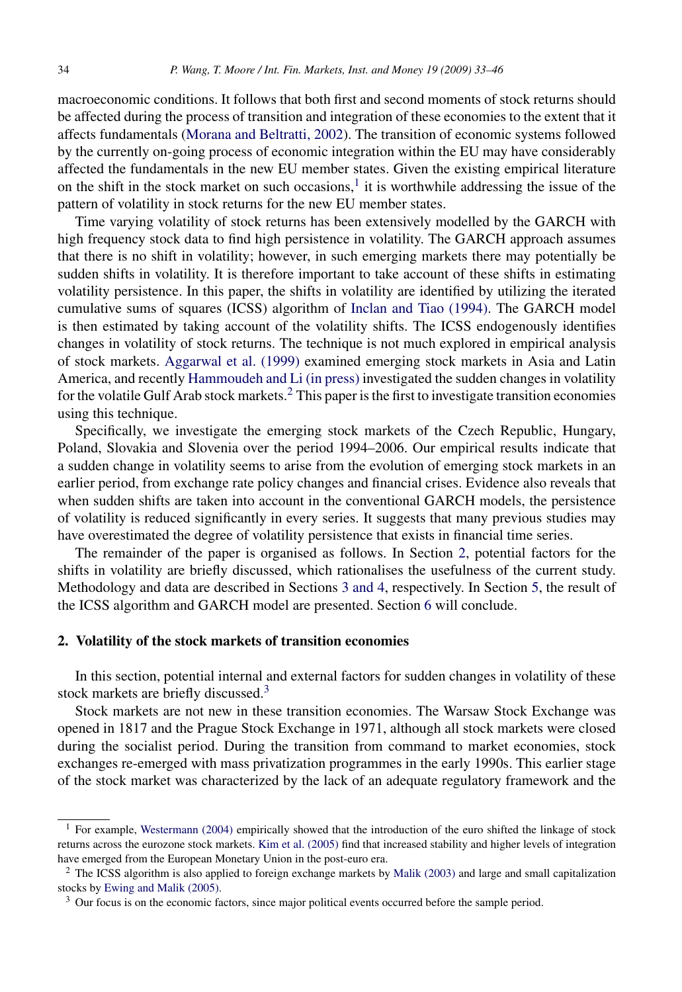macroeconomic conditions. It follows that both first and second moments of stock returns should be affected during the process of transition and integration of these economies to the extent that it affects fundamentals ([Morana and Beltratti, 2002\).](#page--1-0) The transition of economic systems followed by the currently on-going process of economic integration within the EU may have considerably affected the fundamentals in the new EU member states. Given the existing empirical literature on the shift in the stock market on such occasions,<sup>1</sup> it is worthwhile addressing the issue of the pattern of volatility in stock returns for the new EU member states.

Time varying volatility of stock returns has been extensively modelled by the GARCH with high frequency stock data to find high persistence in volatility. The GARCH approach assumes that there is no shift in volatility; however, in such emerging markets there may potentially be sudden shifts in volatility. It is therefore important to take account of these shifts in estimating volatility persistence. In this paper, the shifts in volatility are identified by utilizing the iterated cumulative sums of squares (ICSS) algorithm of [Inclan and Tiao \(1994\).](#page--1-0) The GARCH model is then estimated by taking account of the volatility shifts. The ICSS endogenously identifies changes in volatility of stock returns. The technique is not much explored in empirical analysis of stock markets. [Aggarwal et al. \(1999\)](#page--1-0) examined emerging stock markets in Asia and Latin America, and recently [Hammoudeh and Li \(in press\)](#page--1-0) investigated the sudden changes in volatility for the volatile Gulf Arab stock markets.<sup>2</sup> This paper is the first to investigate transition economies using this technique.

Specifically, we investigate the emerging stock markets of the Czech Republic, Hungary, Poland, Slovakia and Slovenia over the period 1994–2006. Our empirical results indicate that a sudden change in volatility seems to arise from the evolution of emerging stock markets in an earlier period, from exchange rate policy changes and financial crises. Evidence also reveals that when sudden shifts are taken into account in the conventional GARCH models, the persistence of volatility is reduced significantly in every series. It suggests that many previous studies may have overestimated the degree of volatility persistence that exists in financial time series.

The remainder of the paper is organised as follows. In Section 2, potential factors for the shifts in volatility are briefly discussed, which rationalises the usefulness of the current study. Methodology and data are described in Sections [3 and 4, r](#page--1-0)espectively. In Section [5,](#page--1-0) the result of the ICSS algorithm and GARCH model are presented. Section [6](#page--1-0) will conclude.

### **2. Volatility of the stock markets of transition economies**

In this section, potential internal and external factors for sudden changes in volatility of these stock markets are briefly discussed.<sup>3</sup>

Stock markets are not new in these transition economies. The Warsaw Stock Exchange was opened in 1817 and the Prague Stock Exchange in 1971, although all stock markets were closed during the socialist period. During the transition from command to market economies, stock exchanges re-emerged with mass privatization programmes in the early 1990s. This earlier stage of the stock market was characterized by the lack of an adequate regulatory framework and the

<sup>&</sup>lt;sup>1</sup> For example, [Westermann \(2004\)](#page--1-0) empirically showed that the introduction of the euro shifted the linkage of stock returns across the eurozone stock markets. [Kim et al. \(2005\)](#page--1-0) find that increased stability and higher levels of integration have emerged from the European Monetary Union in the post-euro era.

<sup>&</sup>lt;sup>2</sup> The ICSS algorithm is also applied to foreign exchange markets by [Malik \(2003\)](#page--1-0) and large and small capitalization stocks by [Ewing and Malik \(2005\).](#page--1-0)

<sup>&</sup>lt;sup>3</sup> Our focus is on the economic factors, since major political events occurred before the sample period.